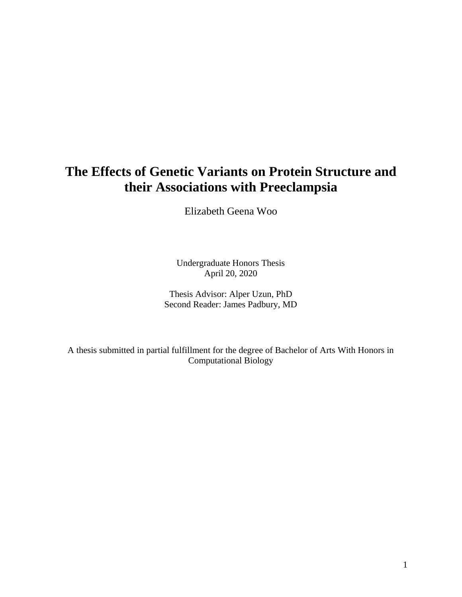# **The Effects of Genetic Variants on Protein Structure and their Associations with Preeclampsia**

Elizabeth Geena Woo

Undergraduate Honors Thesis April 20, 2020

Thesis Advisor: Alper Uzun, PhD Second Reader: James Padbury, MD

A thesis submitted in partial fulfillment for the degree of Bachelor of Arts With Honors in Computational Biology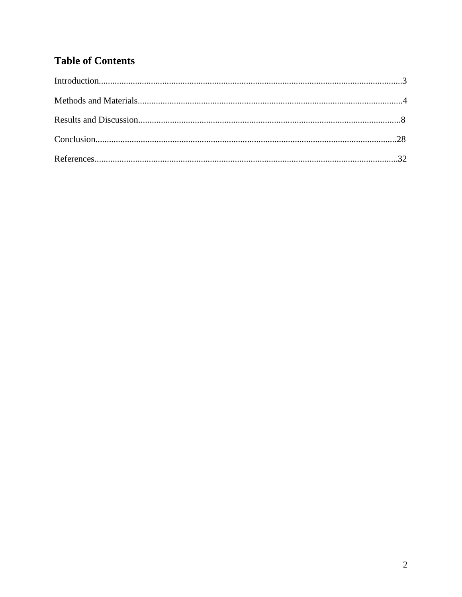# **Table of Contents**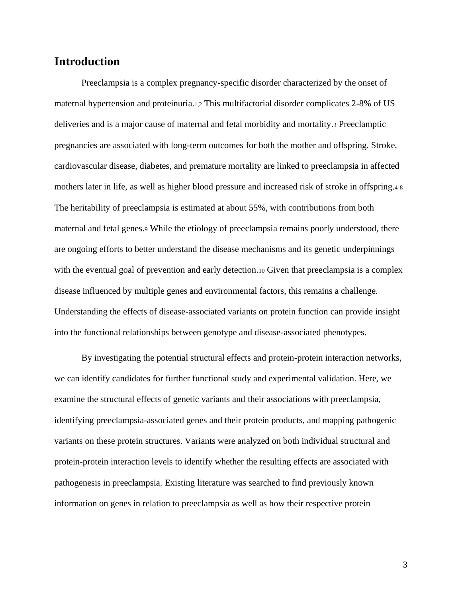# **Introduction**

Preeclampsia is a complex pregnancy-specific disorder characterized by the onset of maternal hypertension and proteinuria.1,2 This multifactorial disorder complicates 2-8% of US deliveries and is a major cause of maternal and fetal morbidity and mortality.<sup>3</sup> Preeclamptic pregnancies are associated with long-term outcomes for both the mother and offspring. Stroke, cardiovascular disease, diabetes, and premature mortality are linked to preeclampsia in affected mothers later in life, as well as higher blood pressure and increased risk of stroke in offspring.4-8 The heritability of preeclampsia is estimated at about 55%, with contributions from both maternal and fetal genes.<sup>9</sup> While the etiology of preeclampsia remains poorly understood, there are ongoing efforts to better understand the disease mechanisms and its genetic underpinnings with the eventual goal of prevention and early detection.<sup>10</sup> Given that preeclampsia is a complex disease influenced by multiple genes and environmental factors, this remains a challenge. Understanding the effects of disease-associated variants on protein function can provide insight into the functional relationships between genotype and disease-associated phenotypes.

By investigating the potential structural effects and protein-protein interaction networks, we can identify candidates for further functional study and experimental validation. Here, we examine the structural effects of genetic variants and their associations with preeclampsia, identifying preeclampsia-associated genes and their protein products, and mapping pathogenic variants on these protein structures. Variants were analyzed on both individual structural and protein-protein interaction levels to identify whether the resulting effects are associated with pathogenesis in preeclampsia. Existing literature was searched to find previously known information on genes in relation to preeclampsia as well as how their respective protein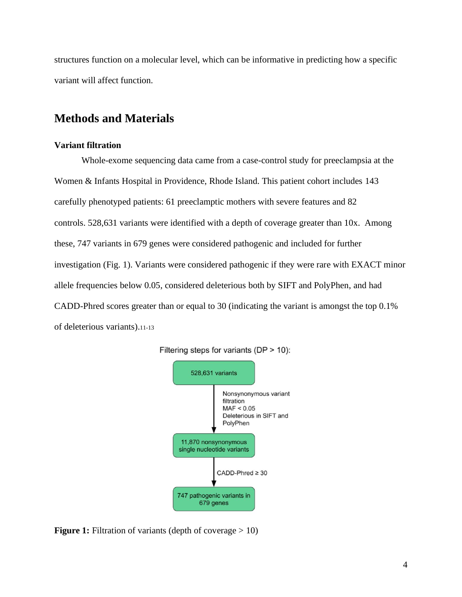structures function on a molecular level, which can be informative in predicting how a specific variant will affect function.

# **Methods and Materials**

### **Variant filtration**

Whole-exome sequencing data came from a case-control study for preeclampsia at the Women & Infants Hospital in Providence, Rhode Island. This patient cohort includes 143 carefully phenotyped patients: 61 preeclamptic mothers with severe features and 82 controls. 528,631 variants were identified with a depth of coverage greater than 10x. Among these, 747 variants in 679 genes were considered pathogenic and included for further investigation (Fig. 1). Variants were considered pathogenic if they were rare with EXACT minor allele frequencies below 0.05, considered deleterious both by SIFT and PolyPhen, and had CADD-Phred scores greater than or equal to 30 (indicating the variant is amongst the top 0.1% of deleterious variants).11-13



Filtering steps for variants (DP > 10):

**Figure 1:** Filtration of variants (depth of coverage > 10)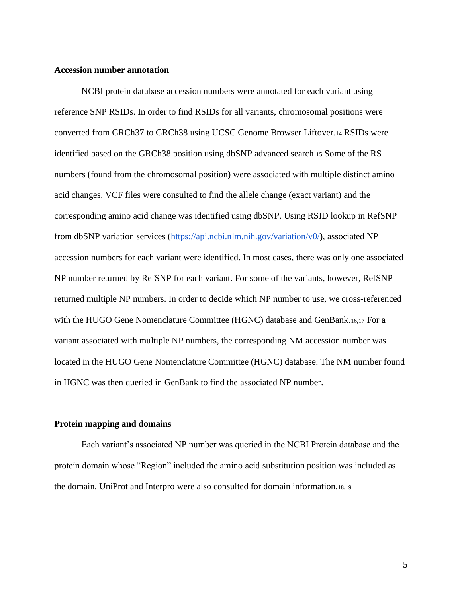### **Accession number annotation**

NCBI protein database accession numbers were annotated for each variant using reference SNP RSIDs. In order to find RSIDs for all variants, chromosomal positions were converted from GRCh37 to GRCh38 using UCSC Genome Browser Liftover.<sup>14</sup> RSIDs were identified based on the GRCh38 position using dbSNP advanced search.<sup>15</sup> Some of the RS numbers (found from the chromosomal position) were associated with multiple distinct amino acid changes. VCF files were consulted to find the allele change (exact variant) and the corresponding amino acid change was identified using dbSNP. Using RSID lookup in RefSNP from dbSNP variation services [\(https://api.ncbi.nlm.nih.gov/variation/v0/\)](https://api.ncbi.nlm.nih.gov/variation/v0/), associated NP accession numbers for each variant were identified. In most cases, there was only one associated NP number returned by RefSNP for each variant. For some of the variants, however, RefSNP returned multiple NP numbers. In order to decide which NP number to use, we cross-referenced with the HUGO Gene Nomenclature Committee (HGNC) database and GenBank.16,17 For a variant associated with multiple NP numbers, the corresponding NM accession number was located in the HUGO Gene Nomenclature Committee (HGNC) database. The NM number found in HGNC was then queried in GenBank to find the associated NP number.

### **Protein mapping and domains**

Each variant's associated NP number was queried in the NCBI Protein database and the protein domain whose "Region" included the amino acid substitution position was included as the domain. UniProt and Interpro were also consulted for domain information.18,19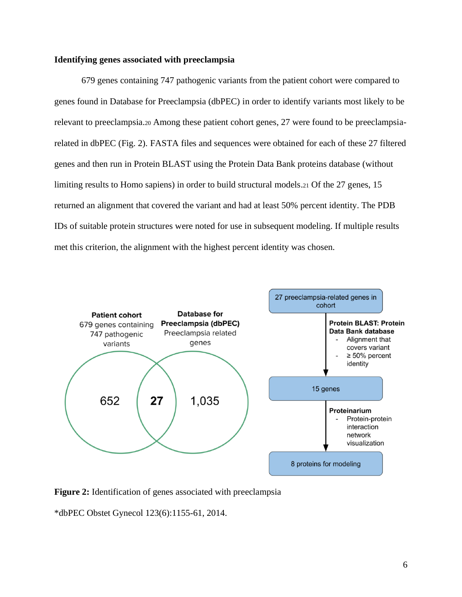### **Identifying genes associated with preeclampsia**

679 genes containing 747 pathogenic variants from the patient cohort were compared to genes found in Database for Preeclampsia (dbPEC) in order to identify variants most likely to be relevant to preeclampsia.<sup>20</sup> Among these patient cohort genes, 27 were found to be preeclampsiarelated in dbPEC (Fig. 2). FASTA files and sequences were obtained for each of these 27 filtered genes and then run in Protein BLAST using the Protein Data Bank proteins database (without limiting results to Homo sapiens) in order to build structural models.<sup>21</sup> Of the 27 genes, 15 returned an alignment that covered the variant and had at least 50% percent identity. The PDB IDs of suitable protein structures were noted for use in subsequent modeling. If multiple results met this criterion, the alignment with the highest percent identity was chosen.



**Figure 2:** Identification of genes associated with preeclampsia

\*dbPEC Obstet Gynecol 123(6):1155-61, 2014.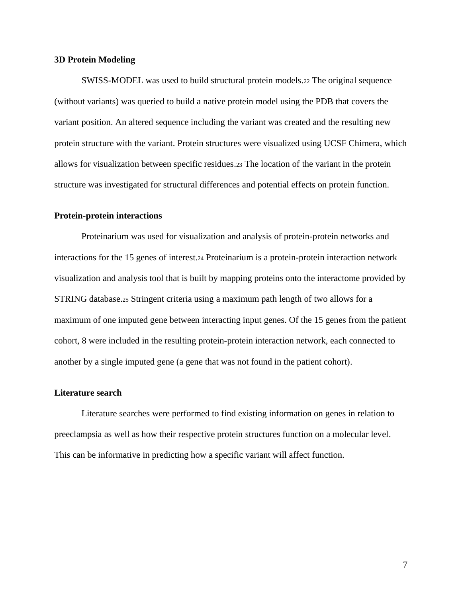#### **3D Protein Modeling**

SWISS-MODEL was used to build structural protein models.<sup>22</sup> The original sequence (without variants) was queried to build a native protein model using the PDB that covers the variant position. An altered sequence including the variant was created and the resulting new protein structure with the variant. Protein structures were visualized using UCSF Chimera, which allows for visualization between specific residues.<sup>23</sup> The location of the variant in the protein structure was investigated for structural differences and potential effects on protein function.

### **Protein-protein interactions**

Proteinarium was used for visualization and analysis of protein-protein networks and interactions for the 15 genes of interest.<sup>24</sup> Proteinarium is a protein-protein interaction network visualization and analysis tool that is built by mapping proteins onto the interactome provided by STRING database.<sup>25</sup> Stringent criteria using a maximum path length of two allows for a maximum of one imputed gene between interacting input genes. Of the 15 genes from the patient cohort, 8 were included in the resulting protein-protein interaction network, each connected to another by a single imputed gene (a gene that was not found in the patient cohort).

#### **Literature search**

Literature searches were performed to find existing information on genes in relation to preeclampsia as well as how their respective protein structures function on a molecular level. This can be informative in predicting how a specific variant will affect function.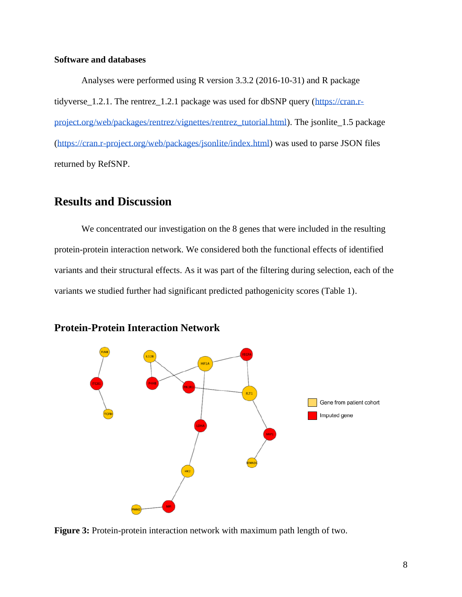### **Software and databases**

Analyses were performed using R version 3.3.2 (2016-10-31) and R package tidyverse\_1.2.1. The rentrez\_1.2.1 package was used for dbSNP query [\(https://cran.r](https://cran.r-project.org/web/packages/rentrez/vignettes/rentrez_tutorial.html)[project.org/web/packages/rentrez/vignettes/rentrez\\_tutorial.html\)](https://cran.r-project.org/web/packages/rentrez/vignettes/rentrez_tutorial.html). The jsonlite\_1.5 package [\(https://cran.r-project.org/web/packages/jsonlite/index.html\)](https://cran.r-project.org/web/packages/jsonlite/index.html) was used to parse JSON files returned by RefSNP.

# **Results and Discussion**

We concentrated our investigation on the 8 genes that were included in the resulting protein-protein interaction network. We considered both the functional effects of identified variants and their structural effects. As it was part of the filtering during selection, each of the variants we studied further had significant predicted pathogenicity scores (Table 1).



# **Protein-Protein Interaction Network**

**Figure 3:** Protein-protein interaction network with maximum path length of two.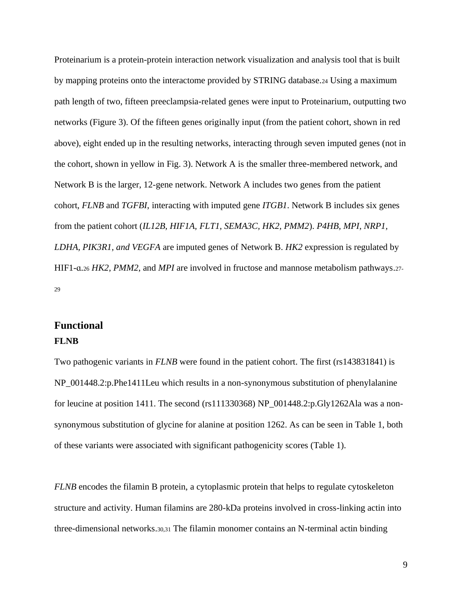Proteinarium is a protein-protein interaction network visualization and analysis tool that is built by mapping proteins onto the interactome provided by STRING database.<sup>24</sup> Using a maximum path length of two, fifteen preeclampsia-related genes were input to Proteinarium, outputting two networks (Figure 3). Of the fifteen genes originally input (from the patient cohort, shown in red above), eight ended up in the resulting networks, interacting through seven imputed genes (not in the cohort, shown in yellow in Fig. 3). Network A is the smaller three-membered network, and Network B is the larger, 12-gene network. Network A includes two genes from the patient cohort, *FLNB* and *TGFBI*, interacting with imputed gene *ITGB1*. Network B includes six genes from the patient cohort (*IL12B, HIF1A, FLT1, SEMA3C, HK2, PMM2*). *P4HB, MPI, NRP1, LDHA, PIK3R1, and VEGFA* are imputed genes of Network B. *HK2* expression is regulated by HIF1-ɑ.<sup>26</sup> *HK2*, *PMM2*, and *MPI* are involved in fructose and mannose metabolism pathways.27- 29

# **Functional**

### **FLNB**

Two pathogenic variants in *FLNB* were found in the patient cohort. The first (rs143831841) is NP\_001448.2:p.Phe1411Leu which results in a non-synonymous substitution of phenylalanine for leucine at position 1411. The second (rs111330368) NP\_001448.2:p.Gly1262Ala was a nonsynonymous substitution of glycine for alanine at position 1262. As can be seen in Table 1, both of these variants were associated with significant pathogenicity scores (Table 1).

*FLNB* encodes the filamin B protein, a cytoplasmic protein that helps to regulate cytoskeleton structure and activity. Human filamins are 280-kDa proteins involved in cross-linking actin into three-dimensional networks.30,31 The filamin monomer contains an N-terminal actin binding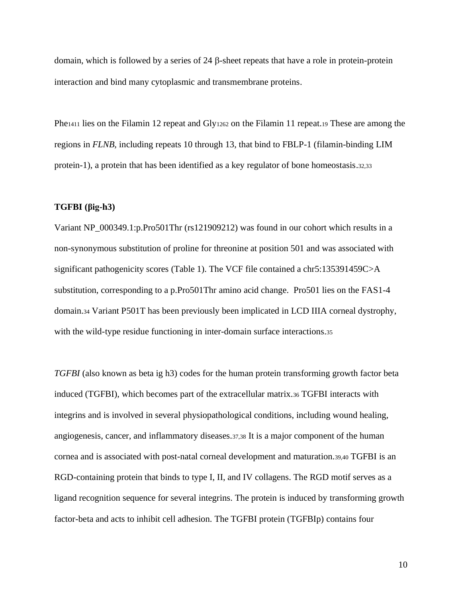domain, which is followed by a series of  $24 \beta$ -sheet repeats that have a role in protein-protein interaction and bind many cytoplasmic and transmembrane proteins.

Phe<sub>1411</sub> lies on the Filamin 12 repeat and Gly<sub>1262</sub> on the Filamin 11 repeat.<sub>19</sub> These are among the regions in *FLNB,* including repeats 10 through 13, that bind to FBLP-1 (filamin-binding LIM protein-1), a protein that has been identified as a key regulator of bone homeostasis.32,33

### **TGFBI [\(βig-h3\)](https://docs.google.com/document/d/1R3XhcIKR2yIwhFkLq3hgQd14g6f4unfKXhcu72m5EuE/edit#heading=h.k81iof7u7toq)**

Variant NP\_000349.1:p.Pro501Thr (rs121909212) was found in our cohort which results in a non-synonymous substitution of proline for threonine at position 501 and was associated with significant pathogenicity scores (Table 1). The VCF file contained a chr5:135391459C>A substitution, corresponding to a p.Pro501Thr amino acid change. Pro501 lies on the FAS1-4 domain.<sup>34</sup> Variant P501T has been previously been implicated in LCD IIIA corneal dystrophy, with the wild-type residue functioning in inter-domain surface interactions.35

*TGFBI* (also known as beta ig h3) codes for the human protein transforming growth factor beta induced (TGFBI), which becomes part of the extracellular matrix.<sup>36</sup> TGFBI interacts with integrins and is involved in several physiopathological conditions, including wound healing, angiogenesis, cancer, and inflammatory diseases.37,38 It is a major component of the human cornea and is associated with post-natal corneal development and maturation.39,40 TGFBI is an RGD-containing protein that binds to type I, II, and IV collagens. The RGD motif serves as a ligand recognition sequence for several integrins. The protein is induced by transforming growth factor-beta and acts to inhibit cell adhesion. The TGFBI protein (TGFBIp) contains four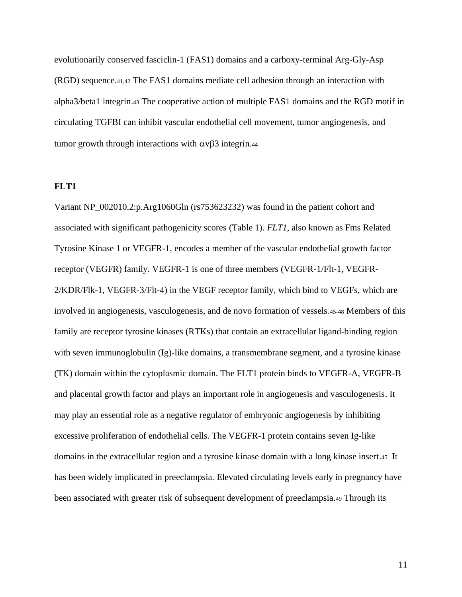evolutionarily conserved fasciclin-1 (FAS1) domains and a carboxy-terminal Arg-Gly-Asp (RGD) sequence.41,42 The FAS1 domains mediate cell adhesion through an interaction with alpha3/beta1 integrin.<sup>43</sup> The cooperative action of multiple FAS1 domains and the RGD motif in circulating TGFBI can inhibit vascular endothelial cell movement, tumor angiogenesis, and tumor growth through interactions with  $\alpha \nu \beta$  integrin.44

#### **FLT1**

Variant NP\_002010.2:p.Arg1060Gln (rs753623232) was found in the patient cohort and associated with significant pathogenicity scores (Table 1). *FLT1*, also known as Fms Related Tyrosine Kinase 1 or VEGFR-1, encodes a member of the vascular endothelial growth factor receptor (VEGFR) family. VEGFR-1 is one of three members (VEGFR-1/Flt-1, VEGFR-2/KDR/Flk-1, VEGFR-3/Flt-4) in the VEGF receptor family, which bind to VEGFs, which are involved in angiogenesis, vasculogenesis, and de novo formation of vessels.45-48 Members of this family are receptor tyrosine kinases (RTKs) that contain an extracellular ligand-binding region with seven immunoglobulin (Ig)-like domains, a transmembrane segment, and a tyrosine kinase (TK) domain within the cytoplasmic domain. The FLT1 protein binds to VEGFR-A, VEGFR-B and placental growth factor and plays an important role in angiogenesis and vasculogenesis. It may play an essential role as a negative regulator of embryonic angiogenesis by inhibiting excessive proliferation of endothelial cells. The VEGFR-1 protein contains seven Ig-like domains in the extracellular region and a tyrosine kinase domain with a long kinase insert.45 It has been widely implicated in preeclampsia. Elevated circulating levels early in pregnancy have been associated with greater risk of subsequent development of preeclampsia.<sup>49</sup> Through its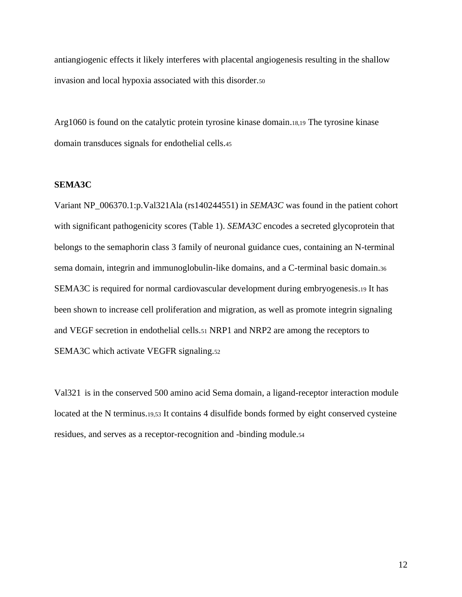antiangiogenic effects it likely interferes with placental angiogenesis resulting in the shallow invasion and local hypoxia associated with this disorder.<sup>50</sup>

Arg1060 is found on the catalytic protein tyrosine kinase domain.18,19 The tyrosine kinase domain transduces signals for endothelial cells.<sup>45</sup>

### **SEMA3C**

Variant NP\_006370.1:p.Val321Ala (rs140244551) in *SEMA3C* was found in the patient cohort with significant pathogenicity scores (Table 1). *SEMA3C* encodes a secreted glycoprotein that belongs to the semaphorin class 3 family of neuronal guidance cues, containing an N-terminal sema domain, integrin and immunoglobulin-like domains, and a C-terminal basic domain.<sup>36</sup> SEMA3C is required for normal cardiovascular development during embryogenesis.<sup>19</sup> It has been shown to increase cell proliferation and migration, as well as promote integrin signaling and VEGF secretion in endothelial cells.<sup>51</sup> NRP1 and NRP2 are among the receptors to SEMA3C which activate VEGFR signaling.<sup>52</sup>

Val321 is in the conserved 500 amino acid Sema domain, a ligand-receptor interaction module located at the N terminus.19,53 It contains 4 disulfide bonds formed by eight conserved cysteine residues, and serves as a receptor-recognition and -binding module.54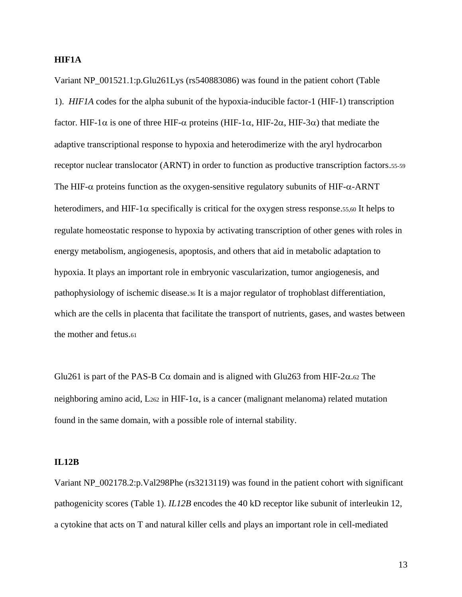### **HIF1A**

Variant NP\_001521.1:p.Glu261Lys (rs540883086) was found in the patient cohort (Table 1). *HIF1A* codes for the alpha subunit of the hypoxia-inducible factor-1 (HIF-1) transcription factor. HIF-1 $\alpha$  is one of three HIF- $\alpha$  proteins (HIF-1 $\alpha$ , HIF-2 $\alpha$ , HIF-3 $\alpha$ ) that mediate the adaptive transcriptional response to hypoxia and heterodimerize with the aryl hydrocarbon receptor nuclear translocator (ARNT) in order to function as productive transcription factors.55-59 The HIF- $\alpha$  proteins function as the oxygen-sensitive regulatory subunits of HIF- $\alpha$ -ARNT heterodimers, and HIF-1 $\alpha$  specifically is critical for the oxygen stress response.55,60 It helps to regulate homeostatic response to hypoxia by activating transcription of other genes with roles in energy metabolism, angiogenesis, apoptosis, and others that aid in metabolic adaptation to hypoxia. It plays an important role in embryonic vascularization, tumor angiogenesis, and pathophysiology of ischemic disease.<sup>36</sup> It is a major regulator of trophoblast differentiation, which are the cells in placenta that facilitate the transport of nutrients, gases, and wastes between the mother and fetus.<sup>61</sup>

Glu261 is part of the PAS-B C $\alpha$  domain and is aligned with Glu263 from HIF-2 $\alpha$ .62 The neighboring amino acid, L262 in HIF-1 $\alpha$ , is a cancer (malignant melanoma) related mutation found in the same domain, with a possible role of internal stability.

### **IL12B**

Variant NP\_002178.2:p.Val298Phe (rs3213119) was found in the patient cohort with significant pathogenicity scores (Table 1). *IL12B* encodes the 40 kD receptor like subunit of interleukin 12, a cytokine that acts on T and natural killer cells and plays an important role in cell-mediated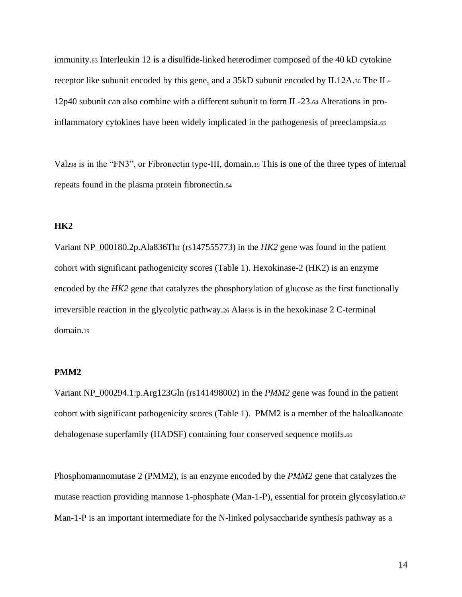immunity.<sup>63</sup> Interleukin 12 is a disulfide-linked heterodimer composed of the 40 kD cytokine receptor like subunit encoded by this gene, and a 35kD subunit encoded by IL12A.<sup>36</sup> The IL-12p40 subunit can also combine with a different subunit to form IL-23.<sup>64</sup> Alterations in proinflammatory cytokines have been widely implicated in the pathogenesis of preeclampsia.<sup>65</sup>

Val<sup>298</sup> is in the "FN3", or Fibronectin type-III, domain.<sup>19</sup> This is one of the three types of internal repeats found in the plasma protein fibronectin.<sup>54</sup>

### **HK2**

Variant NP\_000180.2p.Ala836Thr (rs147555773) in the *HK2* gene was found in the patient cohort with significant pathogenicity scores (Table 1). Hexokinase-2 (HK2) is an enzyme encoded by the *HK2* gene that catalyzes the phosphorylation of glucose as the first functionally irreversible reaction in the glycolytic pathway.<sup>26</sup> Ala<sup>836</sup> is in the hexokinase 2 C-terminal domain.<sup>19</sup>

### **PMM2**

Variant NP\_000294.1:p.Arg123Gln (rs141498002) in the *PMM2* gene was found in the patient cohort with significant pathogenicity scores (Table 1). PMM2 is a member of the haloalkanoate dehalogenase superfamily (HADSF) containing four conserved sequence motifs.<sup>66</sup>

Phosphomannomutase 2 (PMM2), is an enzyme encoded by the *PMM2* gene that catalyzes the mutase reaction providing mannose 1-phosphate (Man-1-P), essential for protein glycosylation.<sup>67</sup> Man-1-P is an important intermediate for the N-linked polysaccharide synthesis pathway as a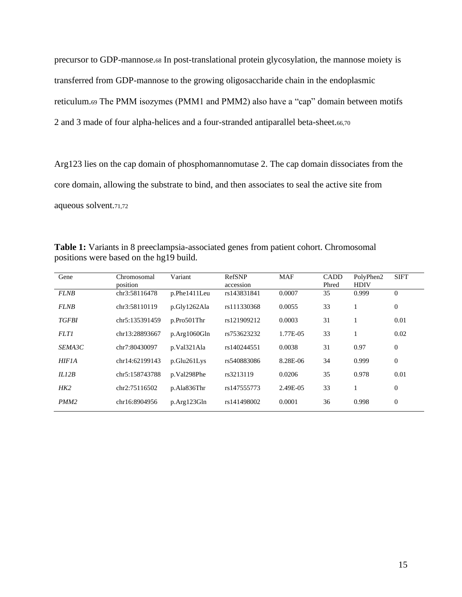precursor to GDP-mannose.<sup>68</sup> In post-translational protein glycosylation, the mannose moiety is transferred from GDP-mannose to the growing oligosaccharide chain in the endoplasmic reticulum.<sup>69</sup> The PMM isozymes (PMM1 and PMM2) also have a "cap" domain between motifs 2 and 3 made of four alpha-helices and a four-stranded antiparallel beta-sheet.66,70

Arg123 lies on the cap domain of phosphomannomutase 2. The cap domain dissociates from the core domain, allowing the substrate to bind, and then associates to seal the active site from aqueous solvent.71,72

**Table 1:** Variants in 8 preeclampsia-associated genes from patient cohort. Chromosomal positions were based on the hg19 build.

| Gene             | Chromosomal<br>position | Variant      | RefSNP<br>accession | <b>MAF</b> | <b>CADD</b><br>Phred | PolyPhen2<br><b>HDIV</b> | <b>SIFT</b>    |
|------------------|-------------------------|--------------|---------------------|------------|----------------------|--------------------------|----------------|
| <b>FLNB</b>      | chr3:58116478           | p.Phe1411Leu | rs143831841         | 0.0007     | 35                   | 0.999                    | $\mathbf{0}$   |
| <b>FLNB</b>      | chr3:58110119           | p.Gly1262Ala | rs111330368         | 0.0055     | 33                   |                          | $\mathbf{0}$   |
| <b>TGFBI</b>     | chr5:135391459          | p.Pro501Thr  | rs121909212         | 0.0003     | 31                   |                          | 0.01           |
| <b>FLT1</b>      | chr13:28893667          | p.Arg1060Gln | rs753623232         | 1.77E-05   | 33                   |                          | 0.02           |
| SEMA3C           | chr7:80430097           | p.Val321Ala  | rs140244551         | 0.0038     | 31                   | 0.97                     | $\overline{0}$ |
| <b>HIF1A</b>     | chr14:62199143          | p.Glu261Lys  | rs540883086         | 8.28E-06   | 34                   | 0.999                    | $\mathbf{0}$   |
| ILI2B            | chr5:158743788          | p.Val298Phe  | rs3213119           | 0.0206     | 35                   | 0.978                    | 0.01           |
| HK2              | chr2:75116502           | p.Ala836Thr  | rs147555773         | 2.49E-05   | 33                   |                          | $\Omega$       |
| PMM <sub>2</sub> | chr16:8904956           | p.Arg123Gln  | rs141498002         | 0.0001     | 36                   | 0.998                    | $\mathbf{0}$   |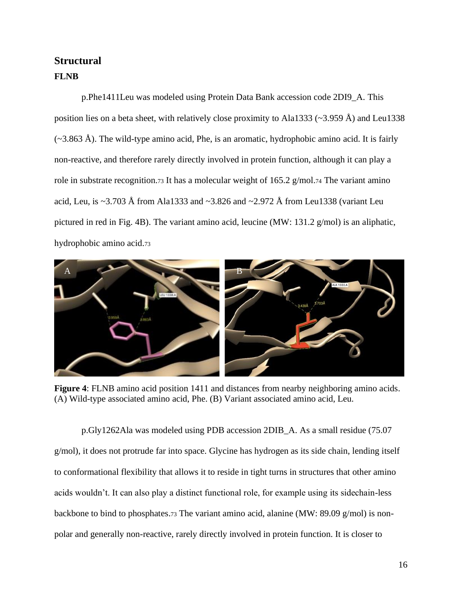# **Structural FLNB**

p.Phe1411Leu was modeled using Protein Data Bank accession code 2DI9\_A. This position lies on a beta sheet, with relatively close proximity to Ala1333 ( $\sim$ 3.959 Å) and Leu1338  $(\sim 3.863 \text{ Å})$ . The wild-type amino acid, Phe, is an aromatic, hydrophobic amino acid. It is fairly non-reactive, and therefore rarely directly involved in protein function, although it can play a role in substrate recognition.73 It has a molecular weight of 165.2 g/mol.74 The variant amino acid, Leu, is ~3.703 Å from Ala1333 and ~3.826 and ~2.972 Å from Leu1338 (variant Leu pictured in red in Fig. 4B). The variant amino acid, leucine (MW: 131.2 g/mol) is an aliphatic, hydrophobic amino acid.<sup>73</sup>



**Figure 4**: FLNB amino acid position 1411 and distances from nearby neighboring amino acids. (A) Wild-type associated amino acid, Phe. (B) Variant associated amino acid, Leu.

p.Gly1262Ala was modeled using PDB accession 2DIB\_A. As a small residue (75.07 g/mol), it does not protrude far into space. Glycine has hydrogen as its side chain, lending itself to conformational flexibility that allows it to reside in tight turns in structures that other amino acids wouldn't. It can also play a distinct functional role, for example using its sidechain-less backbone to bind to phosphates.<sup>73</sup> The variant amino acid, alanine (MW: 89.09 g/mol) is nonpolar and generally non-reactive, rarely directly involved in protein function. It is closer to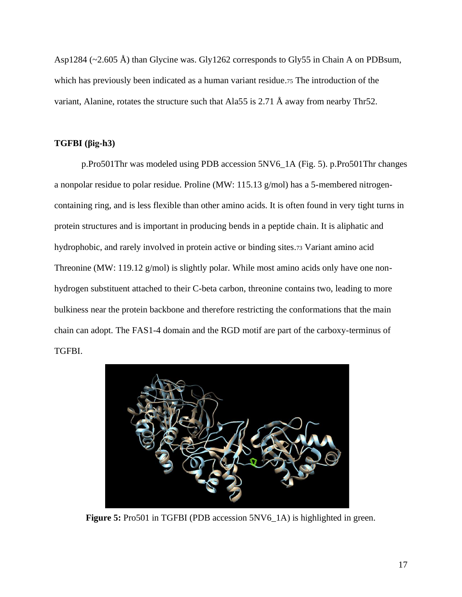Asp1284 (~2.605 Å) than Glycine was. Gly1262 corresponds to Gly55 in Chain A on PDBsum, which has previously been indicated as a human variant residue.<sup>75</sup> The introduction of the variant, Alanine, rotates the structure such that Ala55 is 2.71 Å away from nearby Thr52.

# **TGFBI [\(βig-h3\)](https://docs.google.com/document/d/1R3XhcIKR2yIwhFkLq3hgQd14g6f4unfKXhcu72m5EuE/edit#heading=h.k81iof7u7toq)**

p.Pro501Thr was modeled using PDB accession 5NV6\_1A (Fig. 5). p.Pro501Thr changes a nonpolar residue to polar residue. Proline (MW:  $115.13$  g/mol) has a 5-membered nitrogencontaining ring, and is less flexible than other amino acids. It is often found in very tight turns in protein structures and is important in producing bends in a peptide chain. It is aliphatic and hydrophobic, and rarely involved in protein active or binding sites.<sup>73</sup> Variant amino acid Threonine (MW: 119.12 g/mol) is slightly polar. While most amino acids only have one nonhydrogen substituent attached to their C-beta carbon, threonine contains two, leading to more bulkiness near the protein backbone and therefore restricting the conformations that the main chain can adopt. The FAS1-4 domain and the RGD motif are part of the carboxy-terminus of TGFBI.



**Figure 5:** Pro501 in TGFBI (PDB accession 5NV6\_1A) is highlighted in green.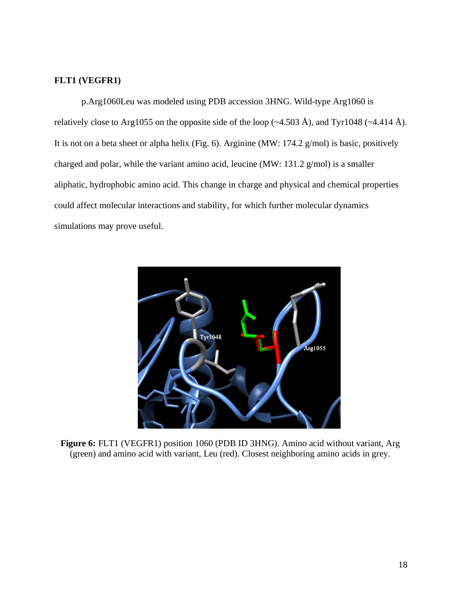# **FLT1 (VEGFR1)**

p.Arg1060Leu was modeled using PDB accession 3HNG. Wild-type Arg1060 is relatively close to Arg1055 on the opposite side of the loop ( $\sim$ 4.503 Å), and Tyr1048 ( $\sim$ 4.414 Å). It is not on a beta sheet or alpha helix (Fig. 6). Arginine (MW: 174.2 g/mol) is basic, positively charged and polar, while the variant amino acid, leucine (MW: 131.2 g/mol) is a smaller aliphatic, hydrophobic amino acid. This change in charge and physical and chemical properties could affect molecular interactions and stability, for which further molecular dynamics simulations may prove useful.



**Figure 6:** FLT1 (VEGFR1) position 1060 (PDB ID 3HNG). Amino acid without variant, Arg (green) and amino acid with variant, Leu (red). Closest neighboring amino acids in grey.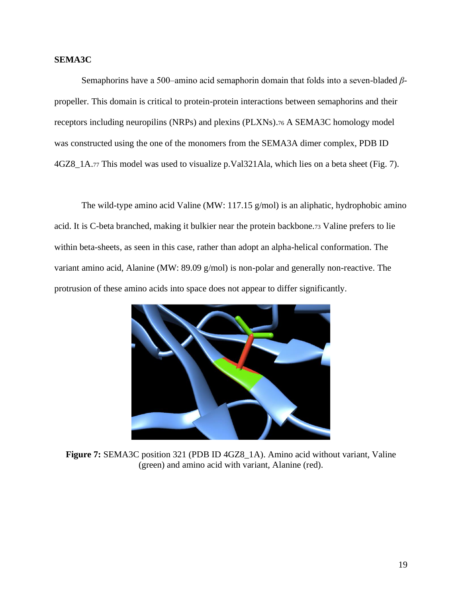### **SEMA3C**

Semaphorins have a 500–amino acid semaphorin domain that folds into a seven-bladed *β*propeller. This domain is critical to protein-protein interactions between semaphorins and their receptors including neuropilins (NRPs) and plexins (PLXNs).<sup>76</sup> A SEMA3C homology model was constructed using the one of the monomers from the SEMA3A dimer complex, PDB ID 4GZ8\_1A.<sup>77</sup> This model was used to visualize p.Val321Ala, which lies on a beta sheet (Fig. 7).

The wild-type amino acid Valine (MW: 117.15 g/mol) is an aliphatic, hydrophobic amino acid. It is C-beta branched, making it bulkier near the protein backbone.<sup>73</sup> Valine prefers to lie within beta-sheets, as seen in this case, rather than adopt an alpha-helical conformation. The variant amino acid, Alanine (MW: 89.09 g/mol) is non-polar and generally non-reactive. The protrusion of these amino acids into space does not appear to differ significantly.



**Figure 7:** SEMA3C position 321 (PDB ID 4GZ8\_1A). Amino acid without variant, Valine (green) and amino acid with variant, Alanine (red).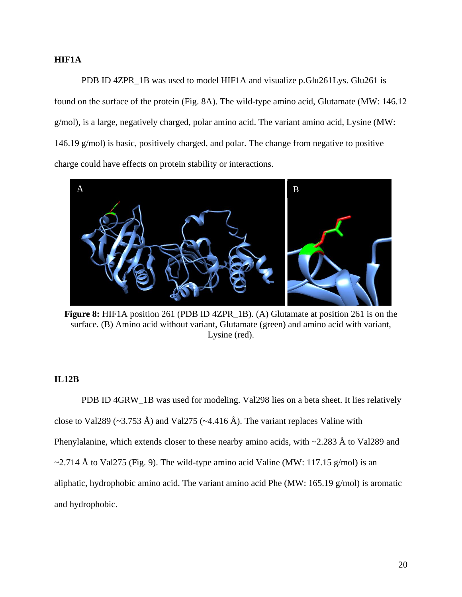### **HIF1A**

PDB ID 4ZPR\_1B was used to model HIF1A and visualize p.Glu261Lys. Glu261 is found on the surface of the protein (Fig. 8A). The wild-type amino acid, Glutamate (MW: 146.12 g/mol), is a large, negatively charged, polar amino acid. The variant amino acid, Lysine (MW: 146.19 g/mol) is basic, positively charged, and polar. The change from negative to positive charge could have effects on protein stability or interactions.



**Figure 8:** HIF1A position 261 (PDB ID 4ZPR\_1B). (A) Glutamate at position 261 is on the surface. (B) Amino acid without variant, Glutamate (green) and amino acid with variant, Lysine (red).

# **IL12B**

PDB ID 4GRW\_1B was used for modeling. Val298 lies on a beta sheet. It lies relatively close to Val289 ( $\sim$ 3.753 Å) and Val275 ( $\sim$ 4.416 Å). The variant replaces Valine with Phenylalanine, which extends closer to these nearby amino acids, with  $\sim$ 2.283 Å to Val289 and  $\sim$ 2.714 Å to Val275 (Fig. 9). The wild-type amino acid Valine (MW: 117.15 g/mol) is an aliphatic, hydrophobic amino acid. The variant amino acid Phe (MW: 165.19 g/mol) is aromatic and hydrophobic.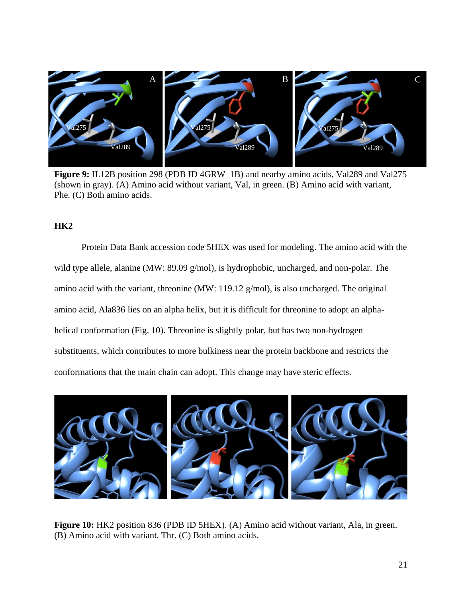

**Figure 9:** IL12B position 298 (PDB ID 4GRW\_1B) and nearby amino acids, Val289 and Val275 (shown in gray). (A) Amino acid without variant, Val, in green. (B) Amino acid with variant, Phe. (C) Both amino acids.

### **HK2**

Protein Data Bank accession code 5HEX was used for modeling. The amino acid with the wild type allele, alanine (MW: 89.09 g/mol), is hydrophobic, uncharged, and non-polar. The amino acid with the variant, threonine (MW: 119.12 g/mol), is also uncharged. The original amino acid, Ala836 lies on an alpha helix, but it is difficult for threonine to adopt an alphahelical conformation (Fig. 10). Threonine is slightly polar, but has two non-hydrogen substituents, which contributes to more bulkiness near the protein backbone and restricts the conformations that the main chain can adopt. This change may have steric effects.



**Figure 10:** HK2 position 836 (PDB ID 5HEX). (A) Amino acid without variant, Ala, in green. (B) Amino acid with variant, Thr. (C) Both amino acids.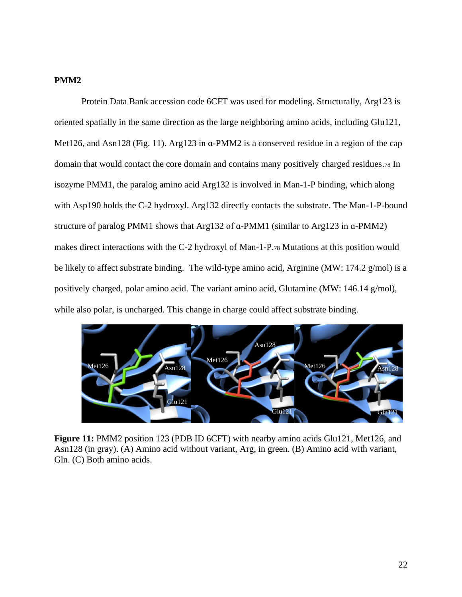## **PMM2**

Protein Data Bank accession code 6CFT was used for modeling. Structurally, Arg123 is oriented spatially in the same direction as the large neighboring amino acids, including Glu121, Met126, and Asn128 (Fig. 11). Arg123 in a-PMM2 is a conserved residue in a region of the cap domain that would contact the core domain and contains many positively charged residues.<sup>78</sup> In isozyme PMM1, the paralog amino acid Arg132 is involved in Man-1-P binding, which along with Asp190 holds the C-2 hydroxyl. Arg132 directly contacts the substrate. The Man-1-P-bound structure of paralog PMM1 shows that Arg132 of ɑ-PMM1 (similar to Arg123 in ɑ-PMM2) makes direct interactions with the C-2 hydroxyl of Man-1-P.<sup>78</sup> Mutations at this position would be likely to affect substrate binding. The wild-type amino acid, Arginine (MW: 174.2 g/mol) is a positively charged, polar amino acid. The variant amino acid, Glutamine (MW: 146.14 g/mol), while also polar, is uncharged. This change in charge could affect substrate binding.



Figure 11: PMM2 position 123 (PDB ID 6CFT) with nearby amino acids Glu121, Met126, and Asn128 (in gray). (A) Amino acid without variant, Arg, in green. (B) Amino acid with variant, Gln. (C) Both amino acids.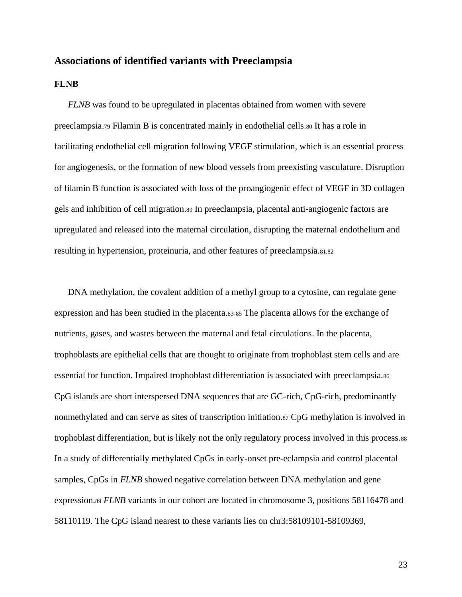# **Associations of identified variants with Preeclampsia**

### **FLNB**

*FLNB* was found to be upregulated in placentas obtained from women with severe preeclampsia.<sup>79</sup> Filamin B is concentrated mainly in endothelial cells.<sup>80</sup> It has a role in facilitating endothelial cell migration following VEGF stimulation, which is an essential process for angiogenesis, or the formation of new blood vessels from preexisting vasculature. Disruption of filamin B function is associated with loss of the proangiogenic effect of VEGF in 3D collagen gels and inhibition of cell migration.<sup>80</sup> In preeclampsia, placental anti-angiogenic factors are upregulated and released into the maternal circulation, disrupting the maternal endothelium and resulting in hypertension, proteinuria, and other features of preeclampsia.81,82

DNA methylation, the covalent addition of a methyl group to a cytosine, can regulate gene expression and has been studied in the placenta.83-85 The placenta allows for the exchange of nutrients, gases, and wastes between the maternal and fetal circulations. In the placenta, trophoblasts are epithelial cells that are thought to originate from trophoblast stem cells and are essential for function. Impaired trophoblast differentiation is associated with preeclampsia.<sup>86</sup> CpG islands are short interspersed DNA sequences that are GC-rich, CpG-rich, predominantly nonmethylated and can serve as sites of transcription initiation.<sup>87</sup> CpG methylation is involved in trophoblast differentiation, but is likely not the only regulatory process involved in this process.<sup>88</sup> In a study of differentially methylated CpGs in early-onset pre-eclampsia and control placental samples, CpGs in *FLNB* showed negative correlation between DNA methylation and gene expression.<sup>89</sup> *FLNB* variants in our cohort are located in chromosome 3, positions 58116478 and 58110119. The CpG island nearest to these variants lies on chr3:58109101-58109369,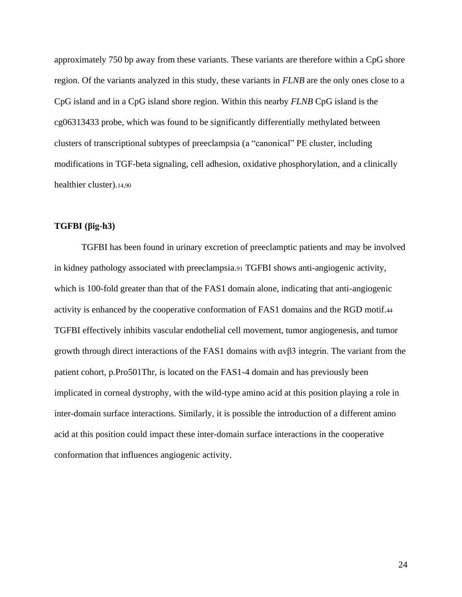approximately 750 bp away from these variants. These variants are therefore within a CpG shore region. Of the variants analyzed in this study, these variants in *FLNB* are the only ones close to a CpG island and in a CpG island shore region. Within this nearby *FLNB* CpG island is the cg06313433 probe, which was found to be significantly differentially methylated between clusters of transcriptional subtypes of preeclampsia (a "canonical" PE cluster, including modifications in TGF-beta signaling, cell adhesion, oxidative phosphorylation, and a clinically healthier cluster).14,90

### **TGFBI [\(βig-h3\)](https://docs.google.com/document/d/1R3XhcIKR2yIwhFkLq3hgQd14g6f4unfKXhcu72m5EuE/edit#heading=h.k81iof7u7toq)**

TGFBI has been found in urinary excretion of preeclamptic patients and may be involved in kidney pathology associated with preeclampsia.<sup>91</sup> TGFBI shows anti-angiogenic activity, which is 100-fold greater than that of the FAS1 domain alone, indicating that anti-angiogenic activity is enhanced by the cooperative conformation of FAS1 domains and the RGD motif.<sup>44</sup> TGFBI effectively inhibits vascular endothelial cell movement, tumor angiogenesis, and tumor growth through direct interactions of the FAS1 domains with ɑvβ3 integrin. The variant from the patient cohort, p.Pro501Thr, is located on the FAS1-4 domain and has previously been implicated in corneal dystrophy, with the wild-type amino acid at this position playing a role in inter-domain surface interactions. Similarly, it is possible the introduction of a different amino acid at this position could impact these inter-domain surface interactions in the cooperative conformation that influences angiogenic activity.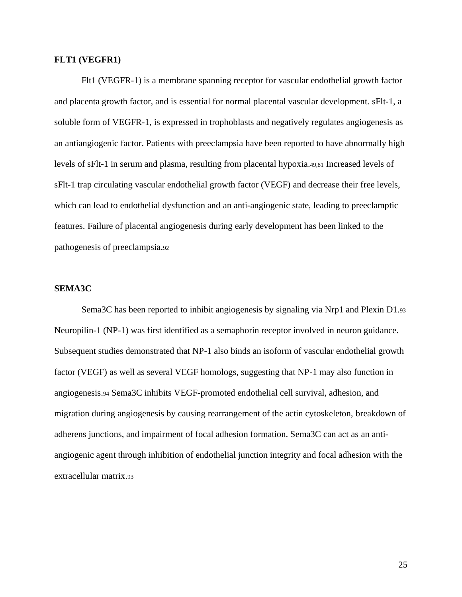### **FLT1 (VEGFR1)**

Flt1 (VEGFR-1) is a membrane spanning receptor for vascular endothelial growth factor and placenta growth factor, and is essential for normal placental vascular development. sFlt-1, a soluble form of VEGFR-1, is expressed in trophoblasts and negatively regulates angiogenesis as an antiangiogenic factor. Patients with preeclampsia have been reported to have abnormally high levels of sFlt-1 in serum and plasma, resulting from placental hypoxia.49,81 Increased levels of sFlt-1 trap circulating vascular endothelial growth factor (VEGF) and decrease their free levels, which can lead to endothelial dysfunction and an anti-angiogenic state, leading to preeclamptic features. Failure of placental angiogenesis during early development has been linked to the pathogenesis of preeclampsia.<sup>92</sup>

### **SEMA3C**

Sema3C has been reported to inhibit angiogenesis by signaling via Nrp1 and Plexin D1.<sup>93</sup> Neuropilin-1 (NP-1) was first identified as a semaphorin receptor involved in neuron guidance. Subsequent studies demonstrated that NP-1 also binds an isoform of vascular endothelial growth factor (VEGF) as well as several VEGF homologs, suggesting that NP-1 may also function in angiogenesis.<sup>94</sup> Sema3C inhibits VEGF-promoted endothelial cell survival, adhesion, and migration during angiogenesis by causing rearrangement of the actin cytoskeleton, breakdown of adherens junctions, and impairment of focal adhesion formation. Sema3C can act as an antiangiogenic agent through inhibition of endothelial junction integrity and focal adhesion with the extracellular matrix.93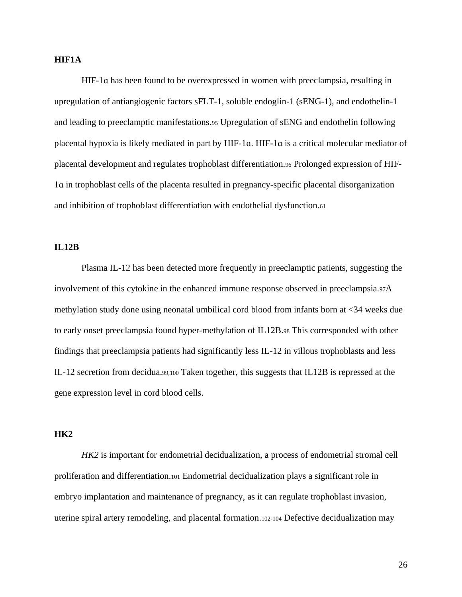### **HIF1A**

HIF-1ɑ has been found to be overexpressed in women with preeclampsia, resulting in upregulation of antiangiogenic factors sFLT-1, soluble endoglin-1 (sENG-1), and endothelin-1 and leading to preeclamptic manifestations.<sup>95</sup> Upregulation of sENG and endothelin following placental hypoxia is likely mediated in part by HIF-1ɑ. HIF-1ɑ is a critical molecular mediator of placental development and regulates trophoblast differentiation.<sup>96</sup> Prolonged expression of HIF-1ɑ in trophoblast cells of the placenta resulted in pregnancy-specific placental disorganization and inhibition of trophoblast differentiation with endothelial dysfunction.<sup>61</sup>

#### **IL12B**

Plasma IL-12 has been detected more frequently in preeclamptic patients, suggesting the involvement of this cytokine in the enhanced immune response observed in preeclampsia.97A methylation study done using neonatal umbilical cord blood from infants born at <34 weeks due to early onset preeclampsia found hyper-methylation of IL12B.<sup>98</sup> This corresponded with other findings that preeclampsia patients had significantly less IL-12 in villous trophoblasts and less IL-12 secretion from decidua.99,100 Taken together, this suggests that IL12B is repressed at the gene expression level in cord blood cells.

#### **HK2**

*HK2* is important for endometrial decidualization, a process of endometrial stromal cell proliferation and differentiation.<sup>101</sup> Endometrial decidualization plays a significant role in embryo implantation and maintenance of pregnancy, as it can regulate trophoblast invasion, uterine spiral artery remodeling, and placental formation.102-104 Defective decidualization may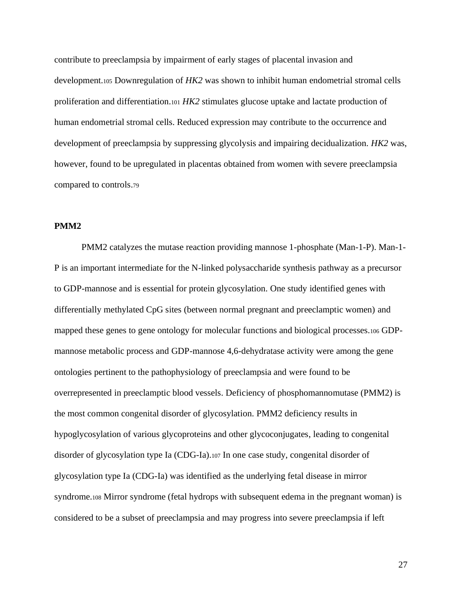contribute to preeclampsia by impairment of early stages of placental invasion and development.<sup>105</sup> Downregulation of *HK2* was shown to inhibit human endometrial stromal cells proliferation and differentiation.<sup>101</sup> *HK2* stimulates glucose uptake and lactate production of human endometrial stromal cells. Reduced expression may contribute to the occurrence and development of preeclampsia by suppressing glycolysis and impairing decidualization. *HK2* was, however, found to be upregulated in placentas obtained from women with severe preeclampsia compared to controls.<sup>79</sup>

# **PMM2**

PMM2 catalyzes the mutase reaction providing mannose 1-phosphate (Man-1-P). Man-1- P is an important intermediate for the N-linked polysaccharide synthesis pathway as a precursor to GDP-mannose and is essential for protein glycosylation. One study identified genes with differentially methylated CpG sites (between normal pregnant and preeclamptic women) and mapped these genes to gene ontology for molecular functions and biological processes.<sup>106</sup> GDPmannose metabolic process and GDP-mannose 4,6-dehydratase activity were among the gene ontologies pertinent to the pathophysiology of preeclampsia and were found to be overrepresented in preeclamptic blood vessels. Deficiency of phosphomannomutase (PMM2) is the most common congenital disorder of glycosylation. PMM2 deficiency results in hypoglycosylation of various glycoproteins and other glycoconjugates, leading to congenital disorder of glycosylation type Ia (CDG-Ia).<sup>107</sup> In one case study, congenital disorder of glycosylation type Ia (CDG-Ia) was identified as the underlying fetal disease in mirror syndrome.<sup>108</sup> Mirror syndrome (fetal hydrops with subsequent edema in the pregnant woman) is considered to be a subset of preeclampsia and may progress into severe preeclampsia if left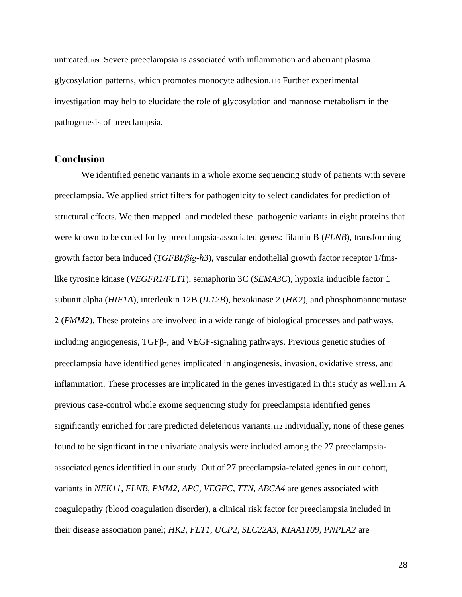untreated.<sup>109</sup> Severe preeclampsia is associated with inflammation and aberrant plasma glycosylation patterns, which promotes monocyte adhesion.<sup>110</sup> Further experimental investigation may help to elucidate the role of glycosylation and mannose metabolism in the pathogenesis of preeclampsia.

# **Conclusion**

We identified genetic variants in a whole exome sequencing study of patients with severe preeclampsia. We applied strict filters for pathogenicity to select candidates for prediction of structural effects. We then mapped and modeled these pathogenic variants in eight proteins that were known to be coded for by preeclampsia-associated genes: filamin B (*FLNB*), transforming growth factor beta induced (*TGFBI[/βig-h3](https://docs.google.com/document/d/1R3XhcIKR2yIwhFkLq3hgQd14g6f4unfKXhcu72m5EuE/edit#heading=h.k81iof7u7toq)*), vascular endothelial growth factor receptor 1/fmslike tyrosine kinase (*VEGFR1/FLT1*), semaphorin 3C (*SEMA3C*), hypoxia inducible factor 1 subunit alpha (*HIF1A*), interleukin 12B (*IL12B*), hexokinase 2 (*HK2*), and phosphomannomutase 2 (*PMM2*). These proteins are involved in a wide range of biological processes and pathways, including angiogenesis,  $TGF\beta$ -, and VEGF-signaling pathways. Previous genetic studies of preeclampsia have identified genes implicated in angiogenesis, invasion, oxidative stress, and inflammation. These processes are implicated in the genes investigated in this study as well.<sup>111</sup> A previous case-control whole exome sequencing study for preeclampsia identified genes significantly enriched for rare predicted deleterious variants.<sup>112</sup> Individually, none of these genes found to be significant in the univariate analysis were included among the 27 preeclampsiaassociated genes identified in our study. Out of 27 preeclampsia-related genes in our cohort, variants in *NEK11, FLNB, PMM2, APC, VEGFC, TTN, ABCA4* are genes associated with coagulopathy (blood coagulation disorder), a clinical risk factor for preeclampsia included in their disease association panel; *HK2, FLT1, UCP2, SLC22A3, KIAA1109, PNPLA2* are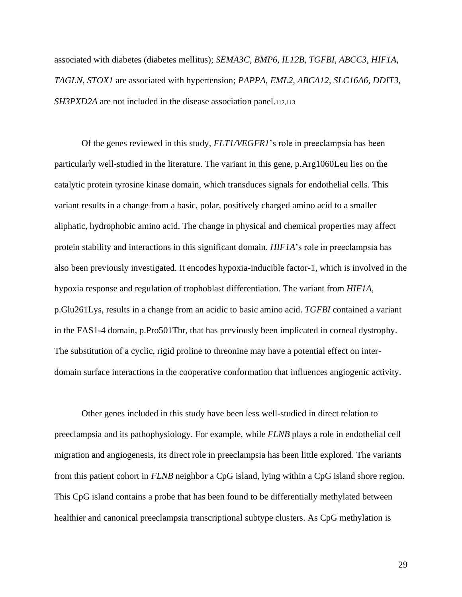associated with diabetes (diabetes mellitus); *SEMA3C, BMP6, IL12B, TGFBI, ABCC3, HIF1A, TAGLN, STOX1* are associated with hypertension; *PAPPA, EML2, ABCA12, SLC16A6, DDIT3, SH3PXD2A* are not included in the disease association panel.112,113

Of the genes reviewed in this study, *FLT1/VEGFR1*'s role in preeclampsia has been particularly well-studied in the literature. The variant in this gene, p.Arg1060Leu lies on the catalytic protein tyrosine kinase domain, which transduces signals for endothelial cells. This variant results in a change from a basic, polar, positively charged amino acid to a smaller aliphatic, hydrophobic amino acid. The change in physical and chemical properties may affect protein stability and interactions in this significant domain. *HIF1A*'s role in preeclampsia has also been previously investigated. It encodes hypoxia-inducible factor-1, which is involved in the hypoxia response and regulation of trophoblast differentiation. The variant from *HIF1A*, p.Glu261Lys, results in a change from an acidic to basic amino acid. *TGFBI* contained a variant in the FAS1-4 domain, p.Pro501Thr, that has previously been implicated in corneal dystrophy. The substitution of a cyclic, rigid proline to threonine may have a potential effect on interdomain surface interactions in the cooperative conformation that influences angiogenic activity.

Other genes included in this study have been less well-studied in direct relation to preeclampsia and its pathophysiology. For example, while *FLNB* plays a role in endothelial cell migration and angiogenesis, its direct role in preeclampsia has been little explored. The variants from this patient cohort in *FLNB* neighbor a CpG island, lying within a CpG island shore region. This CpG island contains a probe that has been found to be differentially methylated between healthier and canonical preeclampsia transcriptional subtype clusters. As CpG methylation is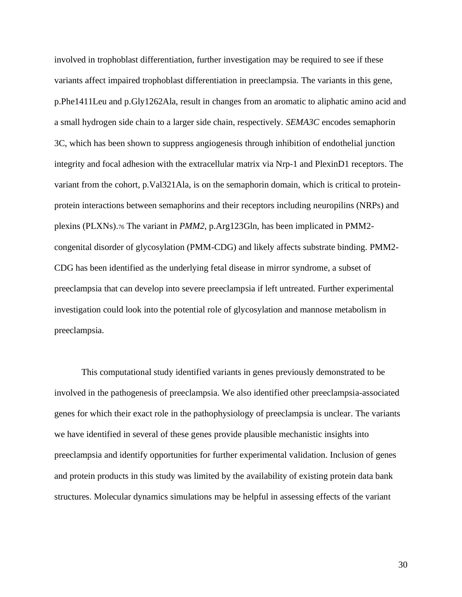involved in trophoblast differentiation, further investigation may be required to see if these variants affect impaired trophoblast differentiation in preeclampsia. The variants in this gene, p.Phe1411Leu and p.Gly1262Ala, result in changes from an aromatic to aliphatic amino acid and a small hydrogen side chain to a larger side chain, respectively. *SEMA3C* encodes semaphorin 3C, which has been shown to suppress angiogenesis through inhibition of endothelial junction integrity and focal adhesion with the extracellular matrix via Nrp-1 and PlexinD1 receptors. The variant from the cohort, p.Val321Ala, is on the semaphorin domain, which is critical to proteinprotein interactions between semaphorins and their receptors including neuropilins (NRPs) and plexins (PLXNs).<sup>76</sup> The variant in *PMM2*, p.Arg123Gln, has been implicated in PMM2 congenital disorder of glycosylation (PMM-CDG) and likely affects substrate binding. PMM2- CDG has been identified as the underlying fetal disease in mirror syndrome, a subset of preeclampsia that can develop into severe preeclampsia if left untreated. Further experimental investigation could look into the potential role of glycosylation and mannose metabolism in preeclampsia.

This computational study identified variants in genes previously demonstrated to be involved in the pathogenesis of preeclampsia. We also identified other preeclampsia-associated genes for which their exact role in the pathophysiology of preeclampsia is unclear. The variants we have identified in several of these genes provide plausible mechanistic insights into preeclampsia and identify opportunities for further experimental validation. Inclusion of genes and protein products in this study was limited by the availability of existing protein data bank structures. Molecular dynamics simulations may be helpful in assessing effects of the variant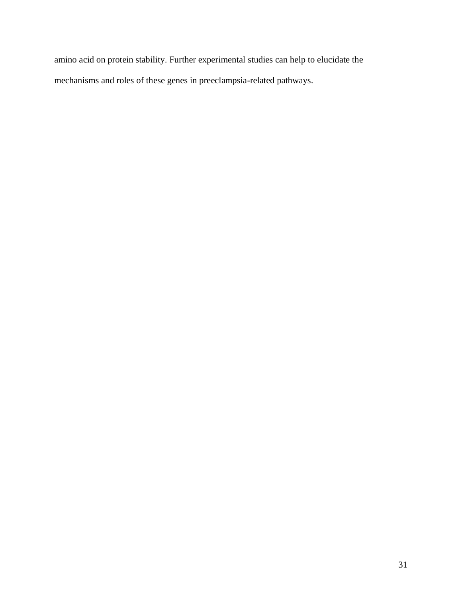amino acid on protein stability. Further experimental studies can help to elucidate the mechanisms and roles of these genes in preeclampsia-related pathways.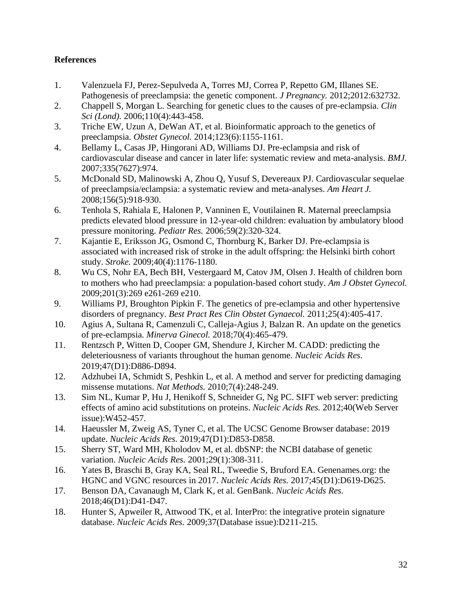# **References**

- 1. Valenzuela FJ, Perez-Sepulveda A, Torres MJ, Correa P, Repetto GM, Illanes SE. Pathogenesis of preeclampsia: the genetic component. *J Pregnancy.* 2012;2012:632732.
- 2. Chappell S, Morgan L. Searching for genetic clues to the causes of pre-eclampsia. *Clin Sci (Lond).* 2006;110(4):443-458.
- 3. Triche EW, Uzun A, DeWan AT, et al. Bioinformatic approach to the genetics of preeclampsia. *Obstet Gynecol.* 2014;123(6):1155-1161.
- 4. Bellamy L, Casas JP, Hingorani AD, Williams DJ. Pre-eclampsia and risk of cardiovascular disease and cancer in later life: systematic review and meta-analysis. *BMJ.*  2007;335(7627):974.
- 5. McDonald SD, Malinowski A, Zhou Q, Yusuf S, Devereaux PJ. Cardiovascular sequelae of preeclampsia/eclampsia: a systematic review and meta-analyses. *Am Heart J.*  2008;156(5):918-930.
- 6. Tenhola S, Rahiala E, Halonen P, Vanninen E, Voutilainen R. Maternal preeclampsia predicts elevated blood pressure in 12-year-old children: evaluation by ambulatory blood pressure monitoring. *Pediatr Res.* 2006;59(2):320-324.
- 7. Kajantie E, Eriksson JG, Osmond C, Thornburg K, Barker DJ. Pre-eclampsia is associated with increased risk of stroke in the adult offspring: the Helsinki birth cohort study. *Stroke.* 2009;40(4):1176-1180.
- 8. Wu CS, Nohr EA, Bech BH, Vestergaard M, Catov JM, Olsen J. Health of children born to mothers who had preeclampsia: a population-based cohort study. *Am J Obstet Gynecol.*  2009;201(3):269 e261-269 e210.
- 9. Williams PJ, Broughton Pipkin F. The genetics of pre-eclampsia and other hypertensive disorders of pregnancy. *Best Pract Res Clin Obstet Gynaecol.* 2011;25(4):405-417.
- 10. Agius A, Sultana R, Camenzuli C, Calleja-Agius J, Balzan R. An update on the genetics of pre-eclampsia. *Minerva Ginecol.* 2018;70(4):465-479.
- 11. Rentzsch P, Witten D, Cooper GM, Shendure J, Kircher M. CADD: predicting the deleteriousness of variants throughout the human genome. *Nucleic Acids Res.*  2019;47(D1):D886-D894.
- 12. Adzhubei IA, Schmidt S, Peshkin L, et al. A method and server for predicting damaging missense mutations. *Nat Methods.* 2010;7(4):248-249.
- 13. Sim NL, Kumar P, Hu J, Henikoff S, Schneider G, Ng PC. SIFT web server: predicting effects of amino acid substitutions on proteins. *Nucleic Acids Res.* 2012;40(Web Server issue):W452-457.
- 14. Haeussler M, Zweig AS, Tyner C, et al. The UCSC Genome Browser database: 2019 update. *Nucleic Acids Res.* 2019;47(D1):D853-D858.
- 15. Sherry ST, Ward MH, Kholodov M, et al. dbSNP: the NCBI database of genetic variation. *Nucleic Acids Res.* 2001;29(1):308-311.
- 16. Yates B, Braschi B, Gray KA, Seal RL, Tweedie S, Bruford EA. Genenames.org: the HGNC and VGNC resources in 2017. *Nucleic Acids Res.* 2017;45(D1):D619-D625.
- 17. Benson DA, Cavanaugh M, Clark K, et al. GenBank. *Nucleic Acids Res.*  2018;46(D1):D41-D47.
- 18. Hunter S, Apweiler R, Attwood TK, et al. InterPro: the integrative protein signature database. *Nucleic Acids Res.* 2009;37(Database issue):D211-215.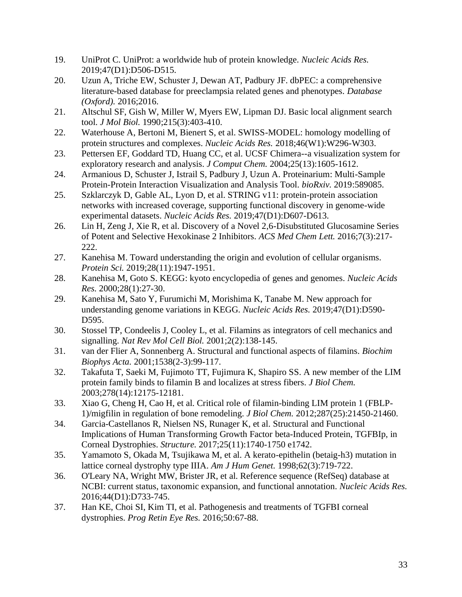- 19. UniProt C. UniProt: a worldwide hub of protein knowledge. *Nucleic Acids Res.*  2019;47(D1):D506-D515.
- 20. Uzun A, Triche EW, Schuster J, Dewan AT, Padbury JF. dbPEC: a comprehensive literature-based database for preeclampsia related genes and phenotypes. *Database (Oxford).* 2016;2016.
- 21. Altschul SF, Gish W, Miller W, Myers EW, Lipman DJ. Basic local alignment search tool. *J Mol Biol.* 1990;215(3):403-410.
- 22. Waterhouse A, Bertoni M, Bienert S, et al. SWISS-MODEL: homology modelling of protein structures and complexes. *Nucleic Acids Res.* 2018;46(W1):W296-W303.
- 23. Pettersen EF, Goddard TD, Huang CC, et al. UCSF Chimera--a visualization system for exploratory research and analysis. *J Comput Chem.* 2004;25(13):1605-1612.
- 24. Armanious D, Schuster J, Istrail S, Padbury J, Uzun A. Proteinarium: Multi-Sample Protein-Protein Interaction Visualization and Analysis Tool. *bioRxiv.* 2019:589085.
- 25. Szklarczyk D, Gable AL, Lyon D, et al. STRING v11: protein-protein association networks with increased coverage, supporting functional discovery in genome-wide experimental datasets. *Nucleic Acids Res.* 2019;47(D1):D607-D613.
- 26. Lin H, Zeng J, Xie R, et al. Discovery of a Novel 2,6-Disubstituted Glucosamine Series of Potent and Selective Hexokinase 2 Inhibitors. *ACS Med Chem Lett.* 2016;7(3):217- 222.
- 27. Kanehisa M. Toward understanding the origin and evolution of cellular organisms. *Protein Sci.* 2019;28(11):1947-1951.
- 28. Kanehisa M, Goto S. KEGG: kyoto encyclopedia of genes and genomes. *Nucleic Acids Res.* 2000;28(1):27-30.
- 29. Kanehisa M, Sato Y, Furumichi M, Morishima K, Tanabe M. New approach for understanding genome variations in KEGG. *Nucleic Acids Res.* 2019;47(D1):D590- D595.
- 30. Stossel TP, Condeelis J, Cooley L, et al. Filamins as integrators of cell mechanics and signalling. *Nat Rev Mol Cell Biol.* 2001;2(2):138-145.
- 31. van der Flier A, Sonnenberg A. Structural and functional aspects of filamins. *Biochim Biophys Acta.* 2001;1538(2-3):99-117.
- 32. Takafuta T, Saeki M, Fujimoto TT, Fujimura K, Shapiro SS. A new member of the LIM protein family binds to filamin B and localizes at stress fibers. *J Biol Chem.*  2003;278(14):12175-12181.
- 33. Xiao G, Cheng H, Cao H, et al. Critical role of filamin-binding LIM protein 1 (FBLP-1)/migfilin in regulation of bone remodeling. *J Biol Chem.* 2012;287(25):21450-21460.
- 34. Garcia-Castellanos R, Nielsen NS, Runager K, et al. Structural and Functional Implications of Human Transforming Growth Factor beta-Induced Protein, TGFBIp, in Corneal Dystrophies. *Structure.* 2017;25(11):1740-1750 e1742.
- 35. Yamamoto S, Okada M, Tsujikawa M, et al. A kerato-epithelin (betaig-h3) mutation in lattice corneal dystrophy type IIIA. *Am J Hum Genet.* 1998;62(3):719-722.
- 36. O'Leary NA, Wright MW, Brister JR, et al. Reference sequence (RefSeq) database at NCBI: current status, taxonomic expansion, and functional annotation. *Nucleic Acids Res.*  2016;44(D1):D733-745.
- 37. Han KE, Choi SI, Kim TI, et al. Pathogenesis and treatments of TGFBI corneal dystrophies. *Prog Retin Eye Res.* 2016;50:67-88.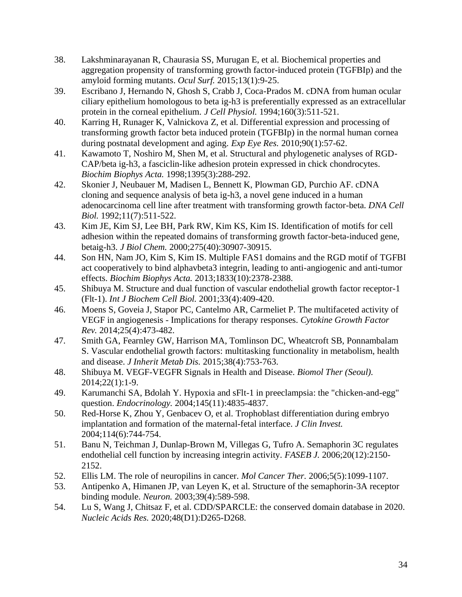- 38. Lakshminarayanan R, Chaurasia SS, Murugan E, et al. Biochemical properties and aggregation propensity of transforming growth factor-induced protein (TGFBIp) and the amyloid forming mutants. *Ocul Surf.* 2015;13(1):9-25.
- 39. Escribano J, Hernando N, Ghosh S, Crabb J, Coca-Prados M. cDNA from human ocular ciliary epithelium homologous to beta ig-h3 is preferentially expressed as an extracellular protein in the corneal epithelium. *J Cell Physiol*. 1994;160(3):511-521.
- 40. Karring H, Runager K, Valnickova Z, et al. Differential expression and processing of transforming growth factor beta induced protein (TGFBIp) in the normal human cornea during postnatal development and aging. *Exp Eye Res.* 2010;90(1):57-62.
- 41. Kawamoto T, Noshiro M, Shen M, et al. Structural and phylogenetic analyses of RGD-CAP/beta ig-h3, a fasciclin-like adhesion protein expressed in chick chondrocytes. *Biochim Biophys Acta.* 1998;1395(3):288-292.
- 42. Skonier J, Neubauer M, Madisen L, Bennett K, Plowman GD, Purchio AF. cDNA cloning and sequence analysis of beta ig-h3, a novel gene induced in a human adenocarcinoma cell line after treatment with transforming growth factor-beta. *DNA Cell Biol.* 1992;11(7):511-522.
- 43. Kim JE, Kim SJ, Lee BH, Park RW, Kim KS, Kim IS. Identification of motifs for cell adhesion within the repeated domains of transforming growth factor-beta-induced gene, betaig-h3. *J Biol Chem.* 2000;275(40):30907-30915.
- 44. Son HN, Nam JO, Kim S, Kim IS. Multiple FAS1 domains and the RGD motif of TGFBI act cooperatively to bind alphavbeta3 integrin, leading to anti-angiogenic and anti-tumor effects. *Biochim Biophys Acta.* 2013;1833(10):2378-2388.
- 45. Shibuya M. Structure and dual function of vascular endothelial growth factor receptor-1 (Flt-1). *Int J Biochem Cell Biol.* 2001;33(4):409-420.
- 46. Moens S, Goveia J, Stapor PC, Cantelmo AR, Carmeliet P. The multifaceted activity of VEGF in angiogenesis - Implications for therapy responses. *Cytokine Growth Factor Rev.* 2014;25(4):473-482.
- 47. Smith GA, Fearnley GW, Harrison MA, Tomlinson DC, Wheatcroft SB, Ponnambalam S. Vascular endothelial growth factors: multitasking functionality in metabolism, health and disease. *J Inherit Metab Dis.* 2015;38(4):753-763.
- 48. Shibuya M. VEGF-VEGFR Signals in Health and Disease. *Biomol Ther (Seoul).*  2014;22(1):1-9.
- 49. Karumanchi SA, Bdolah Y. Hypoxia and sFlt-1 in preeclampsia: the "chicken-and-egg" question. *Endocrinology.* 2004;145(11):4835-4837.
- 50. Red-Horse K, Zhou Y, Genbacev O, et al. Trophoblast differentiation during embryo implantation and formation of the maternal-fetal interface. *J Clin Invest.*  2004;114(6):744-754.
- 51. Banu N, Teichman J, Dunlap-Brown M, Villegas G, Tufro A. Semaphorin 3C regulates endothelial cell function by increasing integrin activity. *FASEB J.* 2006;20(12):2150- 2152.
- 52. Ellis LM. The role of neuropilins in cancer. *Mol Cancer Ther.* 2006;5(5):1099-1107.
- 53. Antipenko A, Himanen JP, van Leyen K, et al. Structure of the semaphorin-3A receptor binding module. *Neuron.* 2003;39(4):589-598.
- 54. Lu S, Wang J, Chitsaz F, et al. CDD/SPARCLE: the conserved domain database in 2020. *Nucleic Acids Res.* 2020;48(D1):D265-D268.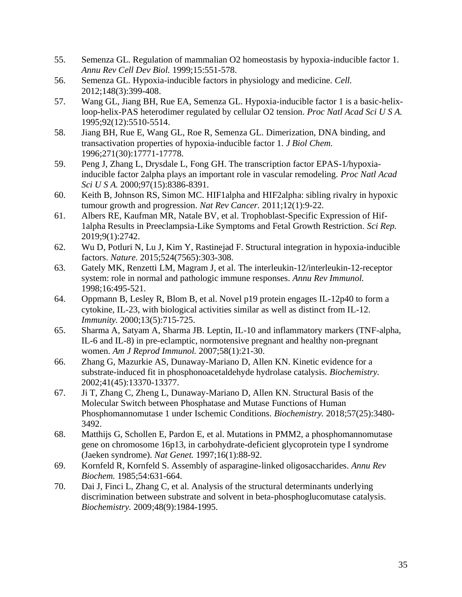- 55. Semenza GL. Regulation of mammalian O2 homeostasis by hypoxia-inducible factor 1. *Annu Rev Cell Dev Biol.* 1999;15:551-578.
- 56. Semenza GL. Hypoxia-inducible factors in physiology and medicine. *Cell.*  2012;148(3):399-408.
- 57. Wang GL, Jiang BH, Rue EA, Semenza GL. Hypoxia-inducible factor 1 is a basic-helixloop-helix-PAS heterodimer regulated by cellular O2 tension. *Proc Natl Acad Sci U S A.*  1995;92(12):5510-5514.
- 58. Jiang BH, Rue E, Wang GL, Roe R, Semenza GL. Dimerization, DNA binding, and transactivation properties of hypoxia-inducible factor 1. *J Biol Chem.*  1996;271(30):17771-17778.
- 59. Peng J, Zhang L, Drysdale L, Fong GH. The transcription factor EPAS-1/hypoxiainducible factor 2alpha plays an important role in vascular remodeling. *Proc Natl Acad Sci U S A.* 2000;97(15):8386-8391.
- 60. Keith B, Johnson RS, Simon MC. HIF1alpha and HIF2alpha: sibling rivalry in hypoxic tumour growth and progression. *Nat Rev Cancer.* 2011;12(1):9-22.
- 61. Albers RE, Kaufman MR, Natale BV, et al. Trophoblast-Specific Expression of Hif-1alpha Results in Preeclampsia-Like Symptoms and Fetal Growth Restriction. *Sci Rep.*  2019;9(1):2742.
- 62. Wu D, Potluri N, Lu J, Kim Y, Rastinejad F. Structural integration in hypoxia-inducible factors. *Nature.* 2015;524(7565):303-308.
- 63. Gately MK, Renzetti LM, Magram J, et al. The interleukin-12/interleukin-12-receptor system: role in normal and pathologic immune responses. *Annu Rev Immunol.*  1998;16:495-521.
- 64. Oppmann B, Lesley R, Blom B, et al. Novel p19 protein engages IL-12p40 to form a cytokine, IL-23, with biological activities similar as well as distinct from IL-12. *Immunity.* 2000;13(5):715-725.
- 65. Sharma A, Satyam A, Sharma JB. Leptin, IL-10 and inflammatory markers (TNF-alpha, IL-6 and IL-8) in pre-eclamptic, normotensive pregnant and healthy non-pregnant women. *Am J Reprod Immunol.* 2007;58(1):21-30.
- 66. Zhang G, Mazurkie AS, Dunaway-Mariano D, Allen KN. Kinetic evidence for a substrate-induced fit in phosphonoacetaldehyde hydrolase catalysis. *Biochemistry.*  2002;41(45):13370-13377.
- 67. Ji T, Zhang C, Zheng L, Dunaway-Mariano D, Allen KN. Structural Basis of the Molecular Switch between Phosphatase and Mutase Functions of Human Phosphomannomutase 1 under Ischemic Conditions. *Biochemistry.* 2018;57(25):3480- 3492.
- 68. Matthijs G, Schollen E, Pardon E, et al. Mutations in PMM2, a phosphomannomutase gene on chromosome 16p13, in carbohydrate-deficient glycoprotein type I syndrome (Jaeken syndrome). *Nat Genet.* 1997;16(1):88-92.
- 69. Kornfeld R, Kornfeld S. Assembly of asparagine-linked oligosaccharides. *Annu Rev Biochem.* 1985;54:631-664.
- 70. Dai J, Finci L, Zhang C, et al. Analysis of the structural determinants underlying discrimination between substrate and solvent in beta-phosphoglucomutase catalysis. *Biochemistry.* 2009;48(9):1984-1995.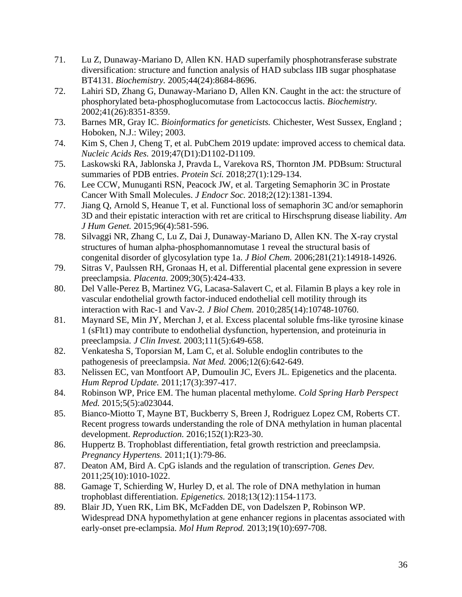- 71. Lu Z, Dunaway-Mariano D, Allen KN. HAD superfamily phosphotransferase substrate diversification: structure and function analysis of HAD subclass IIB sugar phosphatase BT4131. *Biochemistry.* 2005;44(24):8684-8696.
- 72. Lahiri SD, Zhang G, Dunaway-Mariano D, Allen KN. Caught in the act: the structure of phosphorylated beta-phosphoglucomutase from Lactococcus lactis. *Biochemistry.*  2002;41(26):8351-8359.
- 73. Barnes MR, Gray IC. *Bioinformatics for geneticists.* Chichester, West Sussex, England ; Hoboken, N.J.: Wiley; 2003.
- 74. Kim S, Chen J, Cheng T, et al. PubChem 2019 update: improved access to chemical data. *Nucleic Acids Res.* 2019;47(D1):D1102-D1109.
- 75. Laskowski RA, Jablonska J, Pravda L, Varekova RS, Thornton JM. PDBsum: Structural summaries of PDB entries. *Protein Sci.* 2018;27(1):129-134.
- 76. Lee CCW, Munuganti RSN, Peacock JW, et al. Targeting Semaphorin 3C in Prostate Cancer With Small Molecules. *J Endocr Soc.* 2018;2(12):1381-1394.
- 77. Jiang Q, Arnold S, Heanue T, et al. Functional loss of semaphorin 3C and/or semaphorin 3D and their epistatic interaction with ret are critical to Hirschsprung disease liability. *Am J Hum Genet.* 2015;96(4):581-596.
- 78. Silvaggi NR, Zhang C, Lu Z, Dai J, Dunaway-Mariano D, Allen KN. The X-ray crystal structures of human alpha-phosphomannomutase 1 reveal the structural basis of congenital disorder of glycosylation type 1a. *J Biol Chem.* 2006;281(21):14918-14926.
- 79. Sitras V, Paulssen RH, Gronaas H, et al. Differential placental gene expression in severe preeclampsia. *Placenta.* 2009;30(5):424-433.
- 80. Del Valle-Perez B, Martinez VG, Lacasa-Salavert C, et al. Filamin B plays a key role in vascular endothelial growth factor-induced endothelial cell motility through its interaction with Rac-1 and Vav-2. *J Biol Chem.* 2010;285(14):10748-10760.
- 81. Maynard SE, Min JY, Merchan J, et al. Excess placental soluble fms-like tyrosine kinase 1 (sFlt1) may contribute to endothelial dysfunction, hypertension, and proteinuria in preeclampsia. *J Clin Invest.* 2003;111(5):649-658.
- 82. Venkatesha S, Toporsian M, Lam C, et al. Soluble endoglin contributes to the pathogenesis of preeclampsia. *Nat Med.* 2006;12(6):642-649.
- 83. Nelissen EC, van Montfoort AP, Dumoulin JC, Evers JL. Epigenetics and the placenta. *Hum Reprod Update.* 2011;17(3):397-417.
- 84. Robinson WP, Price EM. The human placental methylome. *Cold Spring Harb Perspect Med.* 2015;5(5):a023044.
- 85. Bianco-Miotto T, Mayne BT, Buckberry S, Breen J, Rodriguez Lopez CM, Roberts CT. Recent progress towards understanding the role of DNA methylation in human placental development. *Reproduction.* 2016;152(1):R23-30.
- 86. Huppertz B. Trophoblast differentiation, fetal growth restriction and preeclampsia. *Pregnancy Hypertens.* 2011;1(1):79-86.
- 87. Deaton AM, Bird A. CpG islands and the regulation of transcription. *Genes Dev.*  2011;25(10):1010-1022.
- 88. Gamage T, Schierding W, Hurley D, et al. The role of DNA methylation in human trophoblast differentiation. *Epigenetics.* 2018;13(12):1154-1173.
- 89. Blair JD, Yuen RK, Lim BK, McFadden DE, von Dadelszen P, Robinson WP. Widespread DNA hypomethylation at gene enhancer regions in placentas associated with early-onset pre-eclampsia. *Mol Hum Reprod.* 2013;19(10):697-708.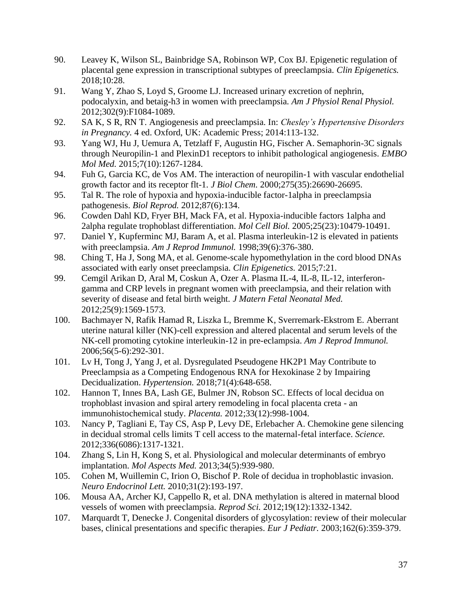- 90. Leavey K, Wilson SL, Bainbridge SA, Robinson WP, Cox BJ. Epigenetic regulation of placental gene expression in transcriptional subtypes of preeclampsia. *Clin Epigenetics.*  2018;10:28.
- 91. Wang Y, Zhao S, Loyd S, Groome LJ. Increased urinary excretion of nephrin, podocalyxin, and betaig-h3 in women with preeclampsia. *Am J Physiol Renal Physiol.*  2012;302(9):F1084-1089.
- 92. SA K, S R, RN T. Angiogenesis and preeclampsia. In: *Chesley's Hypertensive Disorders in Pregnancy.* 4 ed. Oxford, UK: Academic Press; 2014:113-132.
- 93. Yang WJ, Hu J, Uemura A, Tetzlaff F, Augustin HG, Fischer A. Semaphorin-3C signals through Neuropilin-1 and PlexinD1 receptors to inhibit pathological angiogenesis. *EMBO Mol Med.* 2015;7(10):1267-1284.
- 94. Fuh G, Garcia KC, de Vos AM. The interaction of neuropilin-1 with vascular endothelial growth factor and its receptor flt-1. *J Biol Chem.* 2000;275(35):26690-26695.
- 95. Tal R. The role of hypoxia and hypoxia-inducible factor-1alpha in preeclampsia pathogenesis. *Biol Reprod.* 2012;87(6):134.
- 96. Cowden Dahl KD, Fryer BH, Mack FA, et al. Hypoxia-inducible factors 1alpha and 2alpha regulate trophoblast differentiation. *Mol Cell Biol.* 2005;25(23):10479-10491.
- 97. Daniel Y, Kupferminc MJ, Baram A, et al. Plasma interleukin-12 is elevated in patients with preeclampsia. *Am J Reprod Immunol.* 1998;39(6):376-380.
- 98. Ching T, Ha J, Song MA, et al. Genome-scale hypomethylation in the cord blood DNAs associated with early onset preeclampsia. *Clin Epigenetics.* 2015;7:21.
- 99. Cemgil Arikan D, Aral M, Coskun A, Ozer A. Plasma IL-4, IL-8, IL-12, interferongamma and CRP levels in pregnant women with preeclampsia, and their relation with severity of disease and fetal birth weight. *J Matern Fetal Neonatal Med.*  2012;25(9):1569-1573.
- 100. Bachmayer N, Rafik Hamad R, Liszka L, Bremme K, Sverremark-Ekstrom E. Aberrant uterine natural killer (NK)-cell expression and altered placental and serum levels of the NK-cell promoting cytokine interleukin-12 in pre-eclampsia. *Am J Reprod Immunol.*  2006;56(5-6):292-301.
- 101. Lv H, Tong J, Yang J, et al. Dysregulated Pseudogene HK2P1 May Contribute to Preeclampsia as a Competing Endogenous RNA for Hexokinase 2 by Impairing Decidualization. *Hypertension.* 2018;71(4):648-658.
- 102. Hannon T, Innes BA, Lash GE, Bulmer JN, Robson SC. Effects of local decidua on trophoblast invasion and spiral artery remodeling in focal placenta creta - an immunohistochemical study. *Placenta.* 2012;33(12):998-1004.
- 103. Nancy P, Tagliani E, Tay CS, Asp P, Levy DE, Erlebacher A. Chemokine gene silencing in decidual stromal cells limits T cell access to the maternal-fetal interface. *Science.*  2012;336(6086):1317-1321.
- 104. Zhang S, Lin H, Kong S, et al. Physiological and molecular determinants of embryo implantation. *Mol Aspects Med.* 2013;34(5):939-980.
- 105. Cohen M, Wuillemin C, Irion O, Bischof P. Role of decidua in trophoblastic invasion. *Neuro Endocrinol Lett.* 2010;31(2):193-197.
- 106. Mousa AA, Archer KJ, Cappello R, et al. DNA methylation is altered in maternal blood vessels of women with preeclampsia. *Reprod Sci.* 2012;19(12):1332-1342.
- 107. Marquardt T, Denecke J. Congenital disorders of glycosylation: review of their molecular bases, clinical presentations and specific therapies. *Eur J Pediatr.* 2003;162(6):359-379.